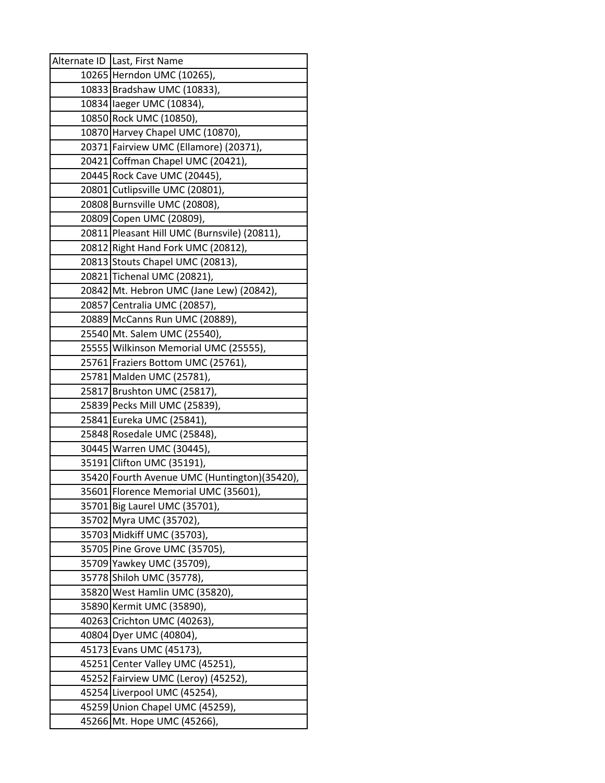| Alternate ID   Last, First Name                       |
|-------------------------------------------------------|
| 10265 Herndon UMC (10265),                            |
| 10833 Bradshaw UMC (10833),                           |
| 10834 laeger UMC (10834),                             |
| 10850 Rock UMC (10850),                               |
| 10870 Harvey Chapel UMC (10870),                      |
| 20371 Fairview UMC (Ellamore) (20371),                |
| 20421 Coffman Chapel UMC (20421),                     |
| 20445 Rock Cave UMC (20445),                          |
| 20801 Cutlipsville UMC (20801),                       |
| 20808 Burnsville UMC (20808),                         |
| 20809 Copen UMC (20809),                              |
| 20811 Pleasant Hill UMC (Burnsvile) (20811),          |
| 20812 Right Hand Fork UMC (20812),                    |
| 20813 Stouts Chapel UMC (20813),                      |
| 20821 Tichenal UMC (20821),                           |
| 20842 Mt. Hebron UMC (Jane Lew) (20842),              |
| 20857 Centralia UMC (20857),                          |
| 20889 McCanns Run UMC (20889),                        |
| 25540 Mt. Salem UMC (25540),                          |
| 25555 Wilkinson Memorial UMC (25555),                 |
| 25761 Fraziers Bottom UMC (25761),                    |
| 25781 Malden UMC (25781),                             |
| 25817 Brushton UMC (25817),                           |
| 25839 Pecks Mill UMC (25839),                         |
| 25841 Eureka UMC (25841),                             |
| 25848 Rosedale UMC (25848),                           |
| 30445 Warren UMC (30445),                             |
| 35191 Clifton UMC (35191),                            |
| 35420 Fourth Avenue UMC (Huntington) (35420),         |
| 35601 Florence Memorial UMC (35601),                  |
| 35701 Big Laurel UMC (35701),                         |
| 35702 Myra UMC (35702),<br>35703 Midkiff UMC (35703), |
| 35705 Pine Grove UMC (35705),                         |
| 35709 Yawkey UMC (35709),                             |
| 35778 Shiloh UMC (35778),                             |
| 35820 West Hamlin UMC (35820),                        |
| 35890 Kermit UMC (35890),                             |
| 40263 Crichton UMC (40263),                           |
| 40804 Dyer UMC (40804),                               |
| 45173 Evans UMC (45173),                              |
| 45251 Center Valley UMC (45251),                      |
| 45252 Fairview UMC (Leroy) (45252),                   |
| 45254 Liverpool UMC (45254),                          |
| 45259 Union Chapel UMC (45259),                       |
| 45266 Mt. Hope UMC (45266),                           |